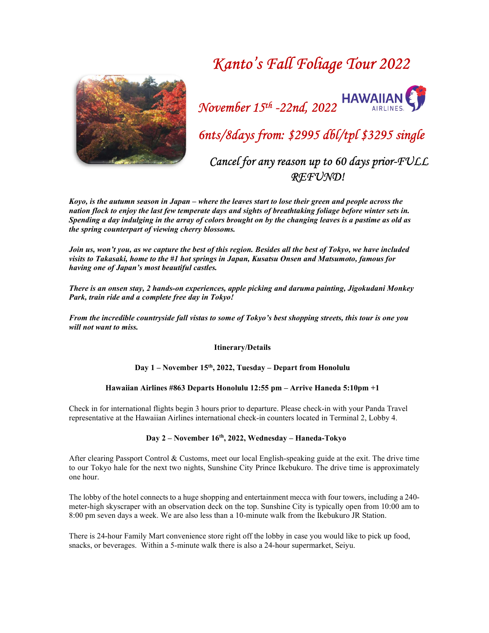# Kanto's Fall Foliage Tour 2022





6nts/8days from: \$2995 dbl/tpl \$3295 single

 Cancel for any reason up to 60 days prior-FULL REFUND!

Koyo, is the autumn season in Japan – where the leaves start to lose their green and people across the nation flock to enjoy the last few temperate days and sights of breathtaking foliage before winter sets in. Spending a day indulging in the array of colors brought on by the changing leaves is a pastime as old as the spring counterpart of viewing cherry blossoms.

Join us, won't you, as we capture the best of this region. Besides all the best of Tokyo, we have included visits to Takasaki, home to the #1 hot springs in Japan, Kusatsu Onsen and Matsumoto, famous for having one of Japan's most beautiful castles.

There is an onsen stay, 2 hands-on experiences, apple picking and daruma painting, Jigokudani Monkey Park, train ride and a complete free day in Tokyo!

From the incredible countryside fall vistas to some of Tokyo's best shopping streets, this tour is one you will not want to miss.

Itinerary/Details

Day 1 – November 15<sup>th</sup>, 2022, Tuesday – Depart from Honolulu

## Hawaiian Airlines #863 Departs Honolulu 12:55 pm – Arrive Haneda 5:10pm +1

Check in for international flights begin 3 hours prior to departure. Please check-in with your Panda Travel representative at the Hawaiian Airlines international check-in counters located in Terminal 2, Lobby 4.

## Day 2 – November 16th, 2022, Wednesday – Haneda-Tokyo

After clearing Passport Control & Customs, meet our local English-speaking guide at the exit. The drive time to our Tokyo hale for the next two nights, Sunshine City Prince Ikebukuro. The drive time is approximately one hour.

The lobby of the hotel connects to a huge shopping and entertainment mecca with four towers, including a 240 meter-high skyscraper with an observation deck on the top. Sunshine City is typically open from 10:00 am to 8:00 pm seven days a week. We are also less than a 10-minute walk from the Ikebukuro JR Station.

There is 24-hour Family Mart convenience store right off the lobby in case you would like to pick up food, snacks, or beverages. Within a 5-minute walk there is also a 24-hour supermarket, Seiyu.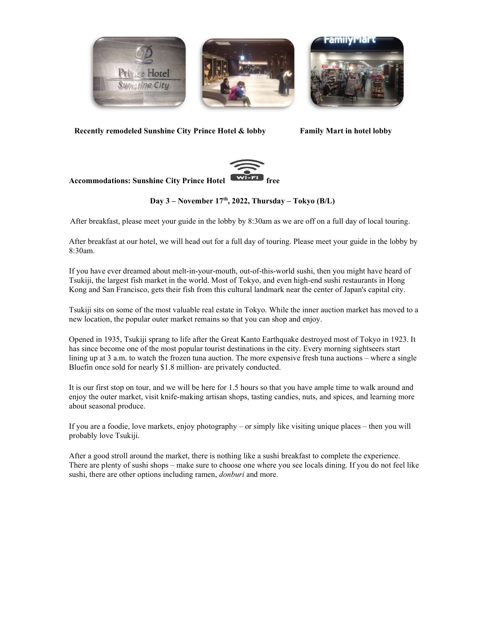





Recently remodeled Sunshine City Prince Hotel & lobby Family Mart in hotel lobby



Accommodations: Sunshine City Prince Hotel

# Day  $3$  – November 17<sup>th</sup>, 2022, Thursday – Tokyo (B/L)

After breakfast, please meet your guide in the lobby by 8:30am as we are off on a full day of local touring.

After breakfast at our hotel, we will head out for a full day of touring. Please meet your guide in the lobby by 8:30am.

If you have ever dreamed about melt-in-your-mouth, out-of-this-world sushi, then you might have heard of Tsukiji, the largest fish market in the world. Most of Tokyo, and even high-end sushi restaurants in Hong Kong and San Francisco, gets their fish from this cultural landmark near the center of Japan's capital city.

Tsukiji sits on some of the most valuable real estate in Tokyo. While the inner auction market has moved to a new location, the popular outer market remains so that you can shop and enjoy.

Opened in 1935, Tsukiji sprang to life after the Great Kanto Earthquake destroyed most of Tokyo in 1923. It has since become one of the most popular tourist destinations in the city. Every morning sightseers start lining up at 3 a.m. to watch the frozen tuna auction. The more expensive fresh tuna auctions – where a single Bluefin once sold for nearly \$1.8 million- are privately conducted.

It is our first stop on tour, and we will be here for 1.5 hours so that you have ample time to walk around and enjoy the outer market, visit knife-making artisan shops, tasting candies, nuts, and spices, and learning more about seasonal produce.

If you are a foodie, love markets, enjoy photography – or simply like visiting unique places – then you will probably love Tsukiji.

After a good stroll around the market, there is nothing like a sushi breakfast to complete the experience. There are plenty of sushi shops – make sure to choose one where you see locals dining. If you do not feel like sushi, there are other options including ramen, *donburi* and more.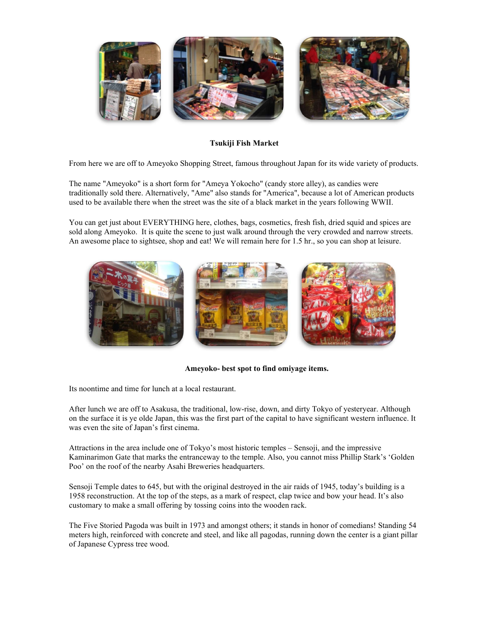

Tsukiji Fish Market

From here we are off to Ameyoko Shopping Street, famous throughout Japan for its wide variety of products.

The name "Ameyoko" is a short form for "Ameya Yokocho" (candy store alley), as candies were traditionally sold there. Alternatively, "Ame" also stands for "America", because a lot of American products used to be available there when the street was the site of a black market in the years following WWII.

You can get just about EVERYTHING here, clothes, bags, cosmetics, fresh fish, dried squid and spices are sold along Ameyoko. It is quite the scene to just walk around through the very crowded and narrow streets. An awesome place to sightsee, shop and eat! We will remain here for 1.5 hr., so you can shop at leisure.



### Ameyoko- best spot to find omiyage items.

Its noontime and time for lunch at a local restaurant.

After lunch we are off to Asakusa, the traditional, low-rise, down, and dirty Tokyo of yesteryear. Although on the surface it is ye olde Japan, this was the first part of the capital to have significant western influence. It was even the site of Japan's first cinema.

Attractions in the area include one of Tokyo's most historic temples – Sensoji, and the impressive Kaminarimon Gate that marks the entranceway to the temple. Also, you cannot miss Phillip Stark's 'Golden Poo' on the roof of the nearby Asahi Breweries headquarters.

Sensoji Temple dates to 645, but with the original destroyed in the air raids of 1945, today's building is a 1958 reconstruction. At the top of the steps, as a mark of respect, clap twice and bow your head. It's also customary to make a small offering by tossing coins into the wooden rack.

The Five Storied Pagoda was built in 1973 and amongst others; it stands in honor of comedians! Standing 54 meters high, reinforced with concrete and steel, and like all pagodas, running down the center is a giant pillar of Japanese Cypress tree wood.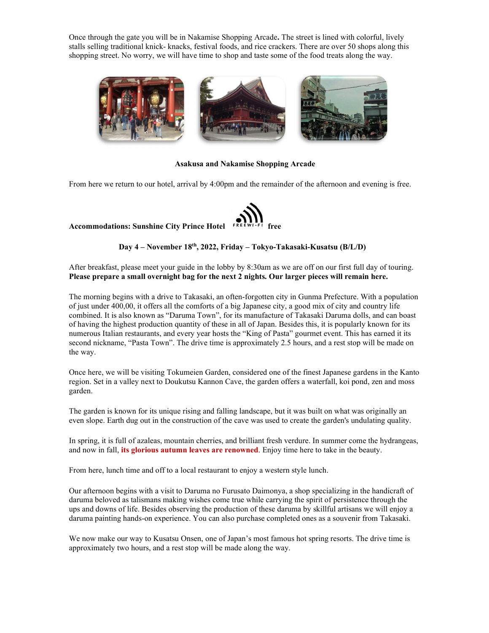Once through the gate you will be in Nakamise Shopping Arcade. The street is lined with colorful, lively stalls selling traditional knick- knacks, festival foods, and rice crackers. There are over 50 shops along this shopping street. No worry, we will have time to shop and taste some of the food treats along the way.



### Asakusa and Nakamise Shopping Arcade

From here we return to our hotel, arrival by 4:00pm and the remainder of the afternoon and evening is free.



### Day 4 – November 18th, 2022, Friday – Tokyo-Takasaki-Kusatsu (B/L/D)

After breakfast, please meet your guide in the lobby by 8:30am as we are off on our first full day of touring. Please prepare a small overnight bag for the next 2 nights. Our larger pieces will remain here.

The morning begins with a drive to Takasaki, an often-forgotten city in Gunma Prefecture. With a population of just under 400,00, it offers all the comforts of a big Japanese city, a good mix of city and country life combined. It is also known as "Daruma Town", for its manufacture of Takasaki Daruma dolls, and can boast of having the highest production quantity of these in all of Japan. Besides this, it is popularly known for its numerous Italian restaurants, and every year hosts the "King of Pasta" gourmet event. This has earned it its second nickname, "Pasta Town". The drive time is approximately 2.5 hours, and a rest stop will be made on the way.

Once here, we will be visiting Tokumeien Garden, considered one of the finest Japanese gardens in the Kanto region. Set in a valley next to Doukutsu Kannon Cave, the garden offers a waterfall, koi pond, zen and moss garden.

The garden is known for its unique rising and falling landscape, but it was built on what was originally an even slope. Earth dug out in the construction of the cave was used to create the garden's undulating quality.

In spring, it is full of azaleas, mountain cherries, and brilliant fresh verdure. In summer come the hydrangeas, and now in fall, its glorious autumn leaves are renowned. Enjoy time here to take in the beauty.

From here, lunch time and off to a local restaurant to enjoy a western style lunch.

Our afternoon begins with a visit to Daruma no Furusato Daimonya, a shop specializing in the handicraft of daruma beloved as talismans making wishes come true while carrying the spirit of persistence through the ups and downs of life. Besides observing the production of these daruma by skillful artisans we will enjoy a daruma painting hands-on experience. You can also purchase completed ones as a souvenir from Takasaki.

We now make our way to Kusatsu Onsen, one of Japan's most famous hot spring resorts. The drive time is approximately two hours, and a rest stop will be made along the way.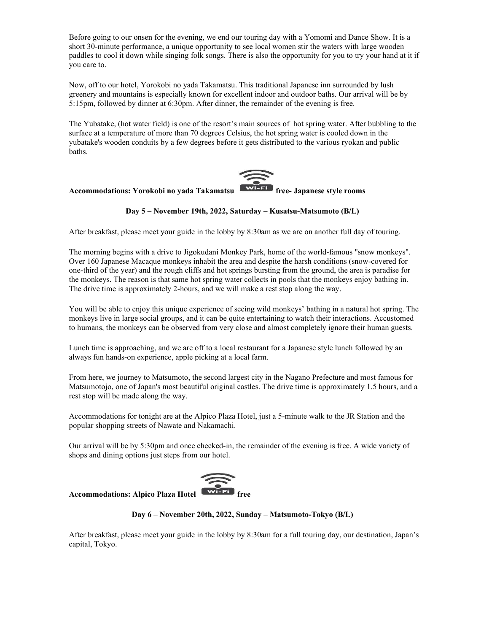Before going to our onsen for the evening, we end our touring day with a Yomomi and Dance Show. It is a short 30-minute performance, a unique opportunity to see local women stir the waters with large wooden paddles to cool it down while singing folk songs. There is also the opportunity for you to try your hand at it if you care to.

Now, off to our hotel, Yorokobi no yada Takamatsu. This traditional Japanese inn surrounded by lush greenery and mountains is especially known for excellent indoor and outdoor baths. Our arrival will be by 5:15pm, followed by dinner at 6:30pm. After dinner, the remainder of the evening is free.

The Yubatake, (hot water field) is one of the resort's main sources of hot spring water. After bubbling to the surface at a temperature of more than 70 degrees Celsius, the hot spring water is cooled down in the yubatake's wooden conduits by a few degrees before it gets distributed to the various ryokan and public baths.

# Accommodations: Yorokobi no yada Takamatsu **WIFEL** free-Japanese style rooms

# Day 5 – November 19th, 2022, Saturday – Kusatsu-Matsumoto (B/L)

After breakfast, please meet your guide in the lobby by 8:30am as we are on another full day of touring.

The morning begins with a drive to Jigokudani Monkey Park, home of the world-famous "snow monkeys". Over 160 Japanese Macaque monkeys inhabit the area and despite the harsh conditions (snow-covered for one-third of the year) and the rough cliffs and hot springs bursting from the ground, the area is paradise for the monkeys. The reason is that same hot spring water collects in pools that the monkeys enjoy bathing in. The drive time is approximately 2-hours, and we will make a rest stop along the way.

You will be able to enjoy this unique experience of seeing wild monkeys' bathing in a natural hot spring. The monkeys live in large social groups, and it can be quite entertaining to watch their interactions. Accustomed to humans, the monkeys can be observed from very close and almost completely ignore their human guests.

Lunch time is approaching, and we are off to a local restaurant for a Japanese style lunch followed by an always fun hands-on experience, apple picking at a local farm.

From here, we journey to Matsumoto, the second largest city in the Nagano Prefecture and most famous for Matsumotojo, one of Japan's most beautiful original castles. The drive time is approximately 1.5 hours, and a rest stop will be made along the way.

Accommodations for tonight are at the Alpico Plaza Hotel, just a 5-minute walk to the JR Station and the popular shopping streets of Nawate and Nakamachi.

Our arrival will be by 5:30pm and once checked-in, the remainder of the evening is free. A wide variety of shops and dining options just steps from our hotel.



# Accommodations: Alpico Plaza Hotel

Day 6 – November 20th, 2022, Sunday – Matsumoto-Tokyo (B/L)

After breakfast, please meet your guide in the lobby by 8:30am for a full touring day, our destination, Japan's capital, Tokyo.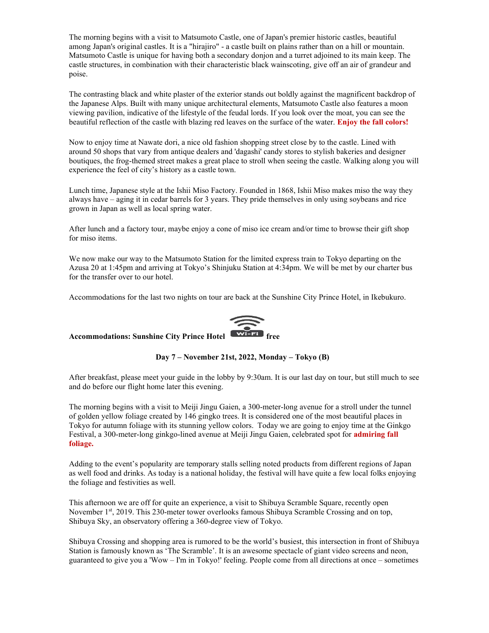The morning begins with a visit to Matsumoto Castle, one of Japan's premier historic castles, beautiful among Japan's original castles. It is a "hirajiro" - a castle built on plains rather than on a hill or mountain. Matsumoto Castle is unique for having both a secondary donjon and a turret adjoined to its main keep. The castle structures, in combination with their characteristic black wainscoting, give off an air of grandeur and poise.

The contrasting black and white plaster of the exterior stands out boldly against the magnificent backdrop of the Japanese Alps. Built with many unique architectural elements, Matsumoto Castle also features a moon viewing pavilion, indicative of the lifestyle of the feudal lords. If you look over the moat, you can see the beautiful reflection of the castle with blazing red leaves on the surface of the water. Enjoy the fall colors!

Now to enjoy time at Nawate dori, a nice old fashion shopping street close by to the castle. Lined with around 50 shops that vary from antique dealers and 'dagashi' candy stores to stylish bakeries and designer boutiques, the frog-themed street makes a great place to stroll when seeing the castle. Walking along you will experience the feel of city's history as a castle town.

Lunch time, Japanese style at the Ishii Miso Factory. Founded in 1868, Ishii Miso makes miso the way they always have – aging it in cedar barrels for 3 years. They pride themselves in only using soybeans and rice grown in Japan as well as local spring water.

After lunch and a factory tour, maybe enjoy a cone of miso ice cream and/or time to browse their gift shop for miso items.

We now make our way to the Matsumoto Station for the limited express train to Tokyo departing on the Azusa 20 at 1:45pm and arriving at Tokyo's Shinjuku Station at 4:34pm. We will be met by our charter bus for the transfer over to our hotel.

Accommodations for the last two nights on tour are back at the Sunshine City Prince Hotel, in Ikebukuro.



# Accommodations: Sunshine City Prince Hotel  $\overbrace{\text{w}_{i-Fi}}$  free

Day 7 – November 21st, 2022, Monday – Tokyo (B)

After breakfast, please meet your guide in the lobby by 9:30am. It is our last day on tour, but still much to see and do before our flight home later this evening.

The morning begins with a visit to Meiji Jingu Gaien, a 300-meter-long avenue for a stroll under the tunnel of golden yellow foliage created by 146 gingko trees. It is considered one of the most beautiful places in Tokyo for autumn foliage with its stunning yellow colors. Today we are going to enjoy time at the Ginkgo Festival, a 300-meter-long ginkgo-lined avenue at Meiji Jingu Gaien, celebrated spot for admiring fall foliage.

Adding to the event's popularity are temporary stalls selling noted products from different regions of Japan as well food and drinks. As today is a national holiday, the festival will have quite a few local folks enjoying the foliage and festivities as well.

This afternoon we are off for quite an experience, a visit to Shibuya Scramble Square, recently open November 1<sup>st</sup>, 2019. This 230-meter tower overlooks famous Shibuya Scramble Crossing and on top, Shibuya Sky, an observatory offering a 360-degree view of Tokyo.

Shibuya Crossing and shopping area is rumored to be the world's busiest, this intersection in front of Shibuya Station is famously known as 'The Scramble'. It is an awesome spectacle of giant video screens and neon, guaranteed to give you a 'Wow – I'm in Tokyo!' feeling. People come from all directions at once – sometimes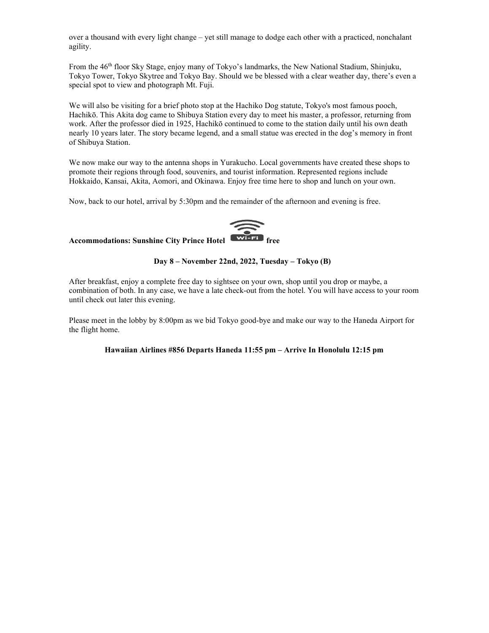over a thousand with every light change – yet still manage to dodge each other with a practiced, nonchalant agility.

From the 46th floor Sky Stage, enjoy many of Tokyo's landmarks, the New National Stadium, Shinjuku, Tokyo Tower, Tokyo Skytree and Tokyo Bay. Should we be blessed with a clear weather day, there's even a special spot to view and photograph Mt. Fuji.

We will also be visiting for a brief photo stop at the Hachiko Dog statute, Tokyo's most famous pooch, Hachikō. This Akita dog came to Shibuya Station every day to meet his master, a professor, returning from work. After the professor died in 1925, Hachikō continued to come to the station daily until his own death nearly 10 years later. The story became legend, and a small statue was erected in the dog's memory in front of Shibuya Station.

We now make our way to the antenna shops in Yurakucho. Local governments have created these shops to promote their regions through food, souvenirs, and tourist information. Represented regions include Hokkaido, Kansai, Akita, Aomori, and Okinawa. Enjoy free time here to shop and lunch on your own.

Now, back to our hotel, arrival by 5:30pm and the remainder of the afternoon and evening is free.



# Accommodations: Sunshine City Prince Hotel

#### Day 8 – November 22nd, 2022, Tuesday – Tokyo (B)

After breakfast, enjoy a complete free day to sightsee on your own, shop until you drop or maybe, a combination of both. In any case, we have a late check-out from the hotel. You will have access to your room until check out later this evening.

Please meet in the lobby by 8:00pm as we bid Tokyo good-bye and make our way to the Haneda Airport for the flight home.

### Hawaiian Airlines #856 Departs Haneda 11:55 pm – Arrive In Honolulu 12:15 pm